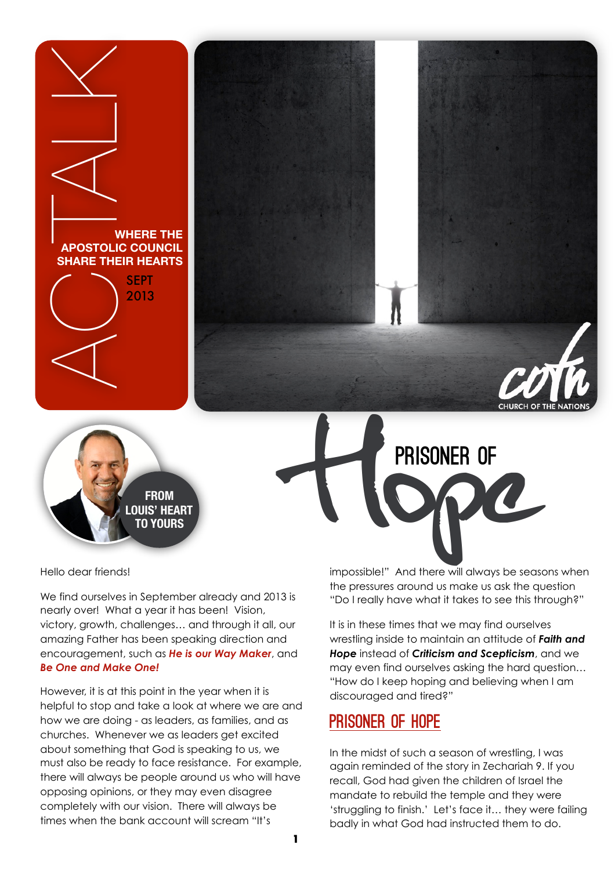



Hello dear friends!

We find ourselves in September already and 2013 is nearly over! What a year it has been! Vision, victory, growth, challenges… and through it all, our amazing Father has been speaking direction and encouragement, such as *He is our Way Maker*, and *Be One and Make One!*

However, it is at this point in the year when it is helpful to stop and take a look at where we are and how we are doing - as leaders, as families, and as churches. Whenever we as leaders get excited about something that God is speaking to us, we must also be ready to face resistance. For example, there will always be people around us who will have opposing opinions, or they may even disagree completely with our vision. There will always be times when the bank account will scream "It's

impossible!" And there will always be seasons when the pressures around us make us ask the question "Do I really have what it takes to see this through?"

EN PRISONER OF

PRISONER OF

It is in these times that we may find ourselves wrestling inside to maintain an attitude of *Faith and Hope* instead of *Criticism and Scepticism*, and we may even find ourselves asking the hard question… "How do I keep hoping and believing when I am discouraged and tired?"

## Prisoner of Hope

In the midst of such a season of wrestling, I was again reminded of the story in Zechariah 9. If you recall, God had given the children of Israel the mandate to rebuild the temple and they were 'struggling to finish.' Let's face it… they were failing badly in what God had instructed them to do.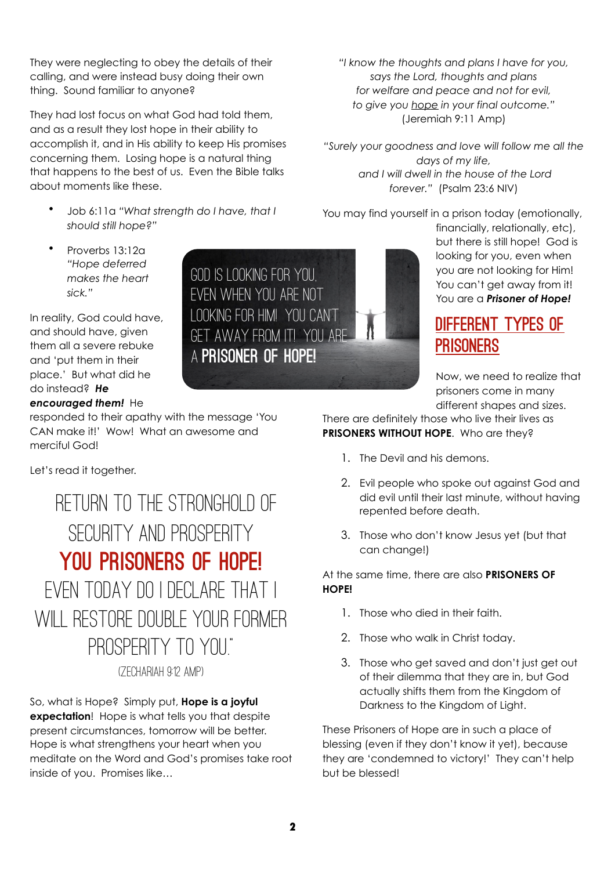They were neglecting to obey the details of their calling, and were instead busy doing their own thing. Sound familiar to anyone?

They had lost focus on what God had told them, and as a result they lost hope in their ability to accomplish it, and in His ability to keep His promises concerning them. Losing hope is a natural thing that happens to the best of us. Even the Bible talks about moments like these.

- Job 6:11a *"What strength do I have, that I should still hope?"*
- Proverbs 13:12a *"Hope deferred makes the heart sick."*

In reality, God could have, and should have, given them all a severe rebuke and 'put them in their place.' But what did he do instead? *He encouraged them!* He

responded to their apathy with the message 'You CAN make it!' Wow! What an awesome and merciful God!

Let's read it together.

Return to the stronghold of SECURITY AND PROSPERITY you Prisoners of Hope! Even today do I declare that I will restore double your former prosperity to you."

(Zechariah 9:12 Amp)

So, what is Hope? Simply put, **Hope is a joyful expectation**! Hope is what tells you that despite present circumstances, tomorrow will be better. Hope is what strengthens your heart when you meditate on the Word and God's promises take root inside of you. Promises like…

*for welfare and peace and not for evil, to give you hope in your final outcome."* (Jeremiah 9:11 Amp)

*"I know the thoughts and plans I have for you, says the Lord, thoughts and plans* 

*"Surely your goodness and love will follow me all the days of my life, and I will dwell in the house of the Lord forever."* (Psalm 23:6 NIV)

You may find yourself in a prison today (emotionally,

financially, relationally, etc), but there is still hope! God is looking for you, even when you are not looking for Him! You can't get away from it! You are a *Prisoner of Hope!*

# Different Types of **PRISONERS**

Now, we need to realize that prisoners come in many different shapes and sizes.

There are definitely those who live their lives as **PRISONERS WITHOUT HOPE**. Who are they?

- 1. The Devil and his demons.
- 2. Evil people who spoke out against God and did evil until their last minute, without having repented before death.
- 3. Those who don't know Jesus yet (but that can change!)

At the same time, there are also **PRISONERS OF HOPE!**

- 1. Those who died in their faith.
- 2. Those who walk in Christ today.
- 3. Those who get saved and don't just get out of their dilemma that they are in, but God actually shifts them from the Kingdom of Darkness to the Kingdom of Light.

These Prisoners of Hope are in such a place of blessing (even if they don't know it yet), because they are 'condemned to victory!' They can't help but be blessed!

# God is looking for you, even when you are not looking for Him! You can't get away from it! You are a Prisoner of Hope!

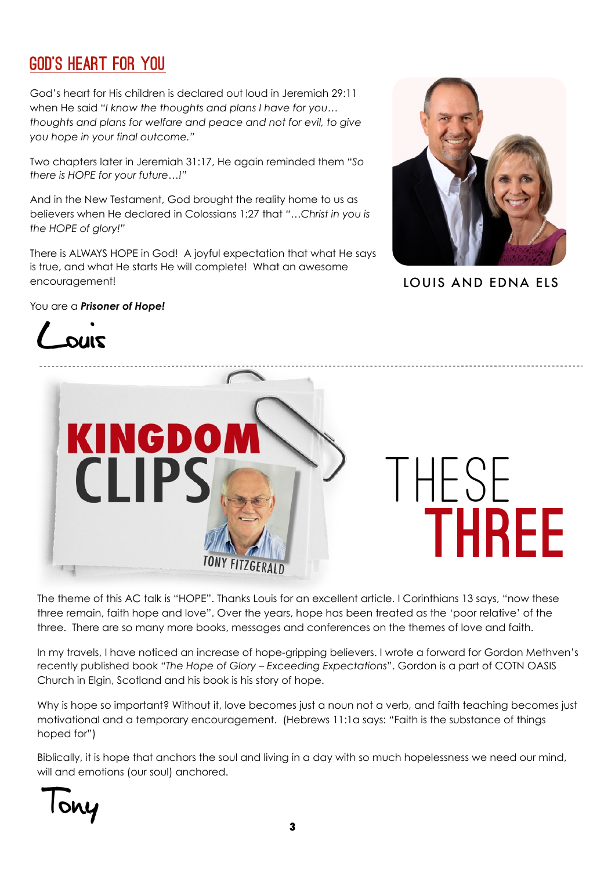# God's Heart for You

God's heart for His children is declared out loud in Jeremiah 29:11 when He said *"I know the thoughts and plans I have for you… thoughts and plans for welfare and peace and not for evil, to give you hope in your final outcome."*

Two chapters later in Jeremiah 31:17, He again reminded them *"So there is HOPE for your future…!"* 

And in the New Testament, God brought the reality home to us as believers when He declared in Colossians 1:27 that *"…Christ in you is the HOPE of glory!"*

There is ALWAYS HOPE in God! A joyful expectation that what He says is true, and what He starts He will complete! What an awesome encouragement!



LOUIS AND EDNA ELS

#### You are a *Prisoner of Hope!*





The theme of this AC talk is "HOPE". Thanks Louis for an excellent article. I Corinthians 13 says, "now these three remain, faith hope and love". Over the years, hope has been treated as the 'poor relative' of the three. There are so many more books, messages and conferences on the themes of love and faith.

In my travels, I have noticed an increase of hope-gripping believers. I wrote a forward for Gordon Methven's recently published book "*The Hope of Glory – Exceeding Expectations*". Gordon is a part of COTN OASIS Church in Elgin, Scotland and his book is his story of hope.

Why is hope so important? Without it, love becomes just a noun not a verb, and faith teaching becomes just motivational and a temporary encouragement. (Hebrews 11:1a says: "Faith is the substance of things hoped for")

Biblically, it is hope that anchors the soul and living in a day with so much hopelessness we need our mind, will and emotions (our soul) anchored.